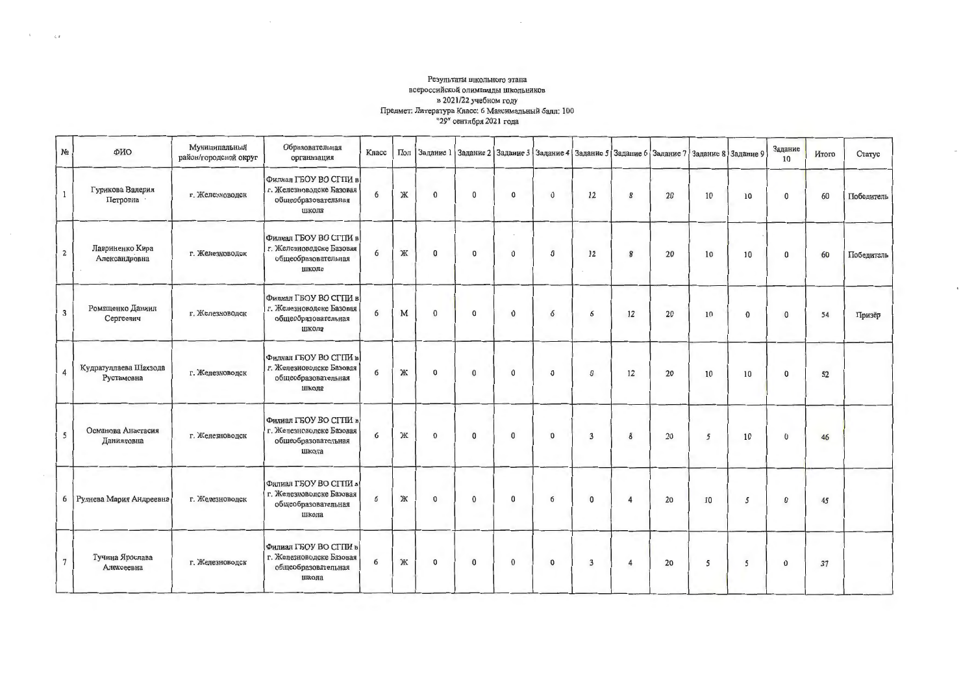## Результаты школьного этапа<br>всероссийской олимпиады школьников в 2021/22 учебном году Предмет: Литература Класс: 6 Максимальный балл: 100 "29" сентября 2021 года

 $\zeta$   $\bar{x}$ 

| N <sub>2</sub>        | ФИО                                 | Муниципальный<br>район/городской округ | Образовательная<br>организация                                                     | Класс | Пол |              | Задание 1 Задание 2 Задание 3 Задание 4 Задание 5 Задание 6 Задание 7 Задание 8 Задание 9 |              |              |              |                |    |    |          | Задание<br>10 | Итого | Статус     |
|-----------------------|-------------------------------------|----------------------------------------|------------------------------------------------------------------------------------|-------|-----|--------------|-------------------------------------------------------------------------------------------|--------------|--------------|--------------|----------------|----|----|----------|---------------|-------|------------|
| 1                     | Гурикова Валерия<br>Петровна -      | г. Железноводск                        | Филиал ГБОУ ВО СГПИ в<br>г. Железноводске Базовая<br>общеобразовательная<br>школа  | 6     | Ж   | $\mathbf{0}$ | $\bf{0}$                                                                                  | $\mathbf{0}$ | $\mathbf{0}$ | 12           | 8              | 20 | 10 | 10       | $\bf{0}$      | 60    | Победитель |
| $\overline{2}$        | Лавриненко Кира<br>Александровна    | г. Железноводск                        | Филиал ГБОУ ВО СГПИ в<br>г. Железноводске Базовая<br>общеобразовательная<br>школа  | 6     | Ж   | $\bf{0}$     | $\bf{0}$                                                                                  | $\mathbf 0$  | $\bf{0}$     | 12           | 8              | 20 | 10 | 10       | $\bf{0}$      | 60    | Победитель |
| $\overline{3}$        | Ромащенко Даниил<br>Сергеевич       | г. Железноводск                        | Филиал ГБОУ ВО СГПИ в<br>г. Железноводске Базовая<br>общеобразовательная<br>школа  | 6     | M   | $\mathbf{0}$ | $\bf{0}$                                                                                  | $\mathbf{0}$ | 6            | 6            | 12             | 20 | 10 | $\Omega$ | $\mathbf{0}$  | 54    | Призёр     |
| $\boldsymbol{\Delta}$ | Кудратуллаева Шахзода<br>Рустамовна | г. Железноводск                        | Филиал ГБОУ ВО СГПИ в<br>г. Железноводске Базовая<br>общеобразовательная<br>школа  | 6     | Ж   | 0            | $\bf{0}$                                                                                  | $\bf{0}$     | $\bf{0}$     | $\bf{0}$     | 12             | 20 | 10 | 10       | $\bf{0}$      | 52    |            |
| 5                     | Османова Анастасия<br>Данияловна    | г. Железноводск                        | Фнлиал ГБОУ ВО СГТІИ в<br>г. Железноводске Базовая<br>общеобразовательная<br>школа | 6     | Ж   | $\mathbf 0$  | $\bf{0}$                                                                                  | $\bf{0}$     | $\bf{0}$     | 3            | 8              | 20 | 5  | 10       | $\mathbf{0}$  | 46    |            |
|                       | 6 Руднева Мария Андреевна           | г. Железноводск                        | Филиал ГБОУ ВО СГТІИ в<br>г. Железноводске Базовая<br>общеобразовательная<br>школа | 6     | Ж   | $\mathbf{0}$ | $\mathbf{0}$                                                                              | $\bf{0}$     | 6            | $\mathbf{0}$ | 4              | 20 | 10 | 5        | $\bf{0}$      | 45    |            |
| $7\overline{ }$       | Тучина Ярослава<br>Алексеевна       | г. Железноводск                        | Филиал ГБОУ ВО СГПИ в<br>г. Железноводске Базовая<br>общеобразовательная<br>школа  | 6     | Ж   | $\bf{0}$     | $\bf{0}$                                                                                  | $\bf{0}$     | $\pmb{0}$    | 3            | $\overline{4}$ | 20 | 5  | 5        | $\bf{0}$      | 37    |            |

 $^\star$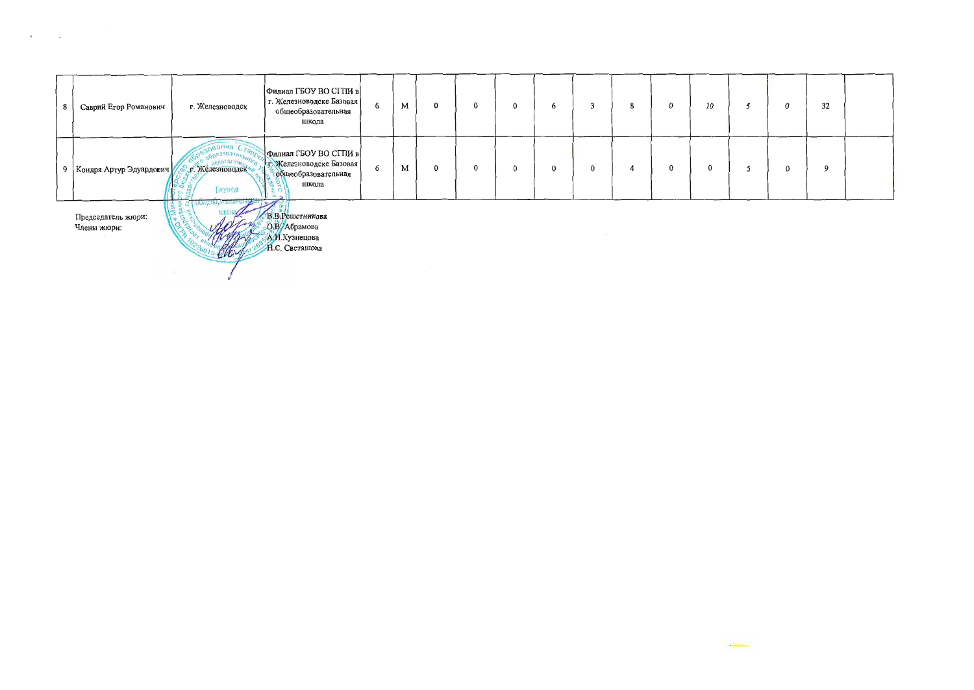| 8 | Саврий Егор Романович             | г. Железноводск                                          | Филиал ГБОУ ВО СГПИ в<br>г. Железноводске Базовая<br>общеобразовательная<br>школа  | 6 | M | $\mathbf 0$ | $\mathbf{0}$ | $\mathbf 0$ | 6 |              | 8 | $\mathbf 0$ | 10             |   | $\mathbf 0$ | 32 |  |
|---|-----------------------------------|----------------------------------------------------------|------------------------------------------------------------------------------------|---|---|-------------|--------------|-------------|---|--------------|---|-------------|----------------|---|-------------|----|--|
|   | 9 Кондря Артур Эдуардович         | orsoBaren.<br>. Железноводски<br>כא נ<br><b>Bagaida</b>  | Филиал ГБОУ ВО СГПИ в<br>т. Железноводске Базовая<br>собщесбразовательная<br>школа | 6 | M | $\bf{0}$    | $\mathbf{0}$ | $\bf{0}$    | 0 | $\mathbf{0}$ |   | 0           | $\overline{0}$ | 5 | $\bf{0}$    | 9  |  |
|   | Председатель жюри:<br>Члены жюри: | <b><i><u>OOHAYON POSSOLO</u></i></b><br>【子王 5】<br>$\sim$ | В.В.Решетникова<br>О.В/Абрамова<br>А.Н.Кузнецова<br>Н.С. Светашова                 |   |   |             |              |             |   |              |   |             |                |   |             |    |  |

 $\label{eq:2} \frac{1}{\sqrt{2\pi}}\sum_{i=1}^n\frac{1}{\sqrt{2\pi}}\sum_{i=1}^n\frac{1}{\sqrt{2\pi}}\sum_{i=1}^n\frac{1}{\sqrt{2\pi}}\sum_{i=1}^n\frac{1}{\sqrt{2\pi}}\sum_{i=1}^n\frac{1}{\sqrt{2\pi}}\sum_{i=1}^n\frac{1}{\sqrt{2\pi}}\sum_{i=1}^n\frac{1}{\sqrt{2\pi}}\sum_{i=1}^n\frac{1}{\sqrt{2\pi}}\sum_{i=1}^n\frac{1}{\sqrt{2\pi}}\sum_{i=1}^n\frac{$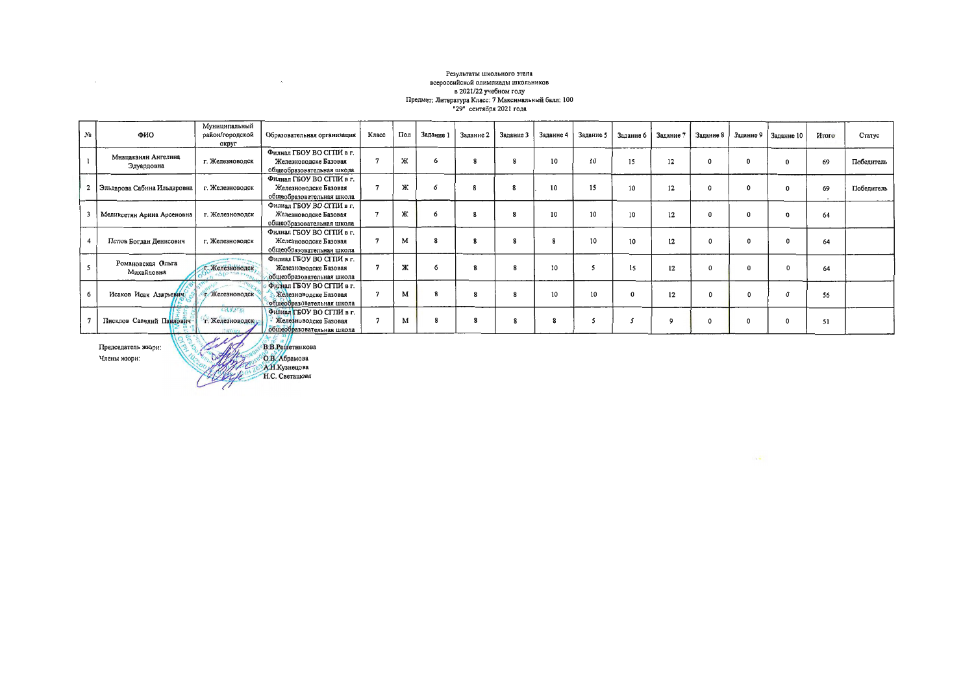## Результаты школьного этапа всероссийской олимпиады школьников<br>в 2021/22 учебном году Предмет: Литература Класс: 7 Максимальный балл: 100<br>"29" сентября 2021 года

| N2 | ФИО                               | Муниципальный<br>район/городской<br>округ          | Образовательная организация                                                     | Класс | Пол | Задание 1 | Задание 2 | Задание 3 | Задание 4 | Задание 5 | Задание б | Задание 7 | Задание 8 | Задание 9    | Задание 10 | Итого        | Статус     |
|----|-----------------------------------|----------------------------------------------------|---------------------------------------------------------------------------------|-------|-----|-----------|-----------|-----------|-----------|-----------|-----------|-----------|-----------|--------------|------------|--------------|------------|
|    | Мнацаканян Ангелина<br>Эдуардовна | г. Железноводск                                    | Филиал ГБОУ ВО СГТІЙ в г.<br>Железноводске Базовая<br>общеобразовательная школа |       | ж   |           |           |           | 10        | 10        | 15        | 12        | $\bf{0}$  | $\Omega$     |            | 69           | Победитель |
|    | Эльдарова Сабина Ильдаровна       | г. Железноводск                                    | Филиал ГБОУ ВО СГПИ в г.<br>Железноводске Базовая<br>общеобразовательная школа  |       | Ж   |           |           |           | 10        | 15        | 10        | 12        | $\Omega$  | $\Omega$     | $\Omega$   | 69<br>$\sim$ | Победитель |
|    | Меликсетян Арина Арсеновна        | г. Железноводск                                    | Филиал ГБОУ ВО СГПИ в г.<br>Железноводске Базовая<br>общеобразовательная школа  |       | ж   |           | 8         | 8         | 10        | 10        | 10        | 12        | 0         | $\bf{0}$     | $\Omega$   | 64           |            |
|    | Попов Богдан Денисович            | г. Железноводск                                    | Филиал ГБОУ ВО СГПИ в г.<br>Железноводске Базовая<br>общеобразовательная школа  |       | M   |           | 8         | 8         | 8         | 10        | 10        | 12        | $\Omega$  | $\Omega$     | $\Omega$   | 64           |            |
|    | Романовская Ольга<br>Михайловна   | г. Железноводск                                    | Филиал ГБОУ ВО СГПИ в г.<br>Железноводске Базовая<br>общеобразовательная школа  |       | Ж   |           | 8         | 8         | 10        |           | 15        | 12        | $\Omega$  | $\Omega$     |            | 64           |            |
|    | Исаков Исак Азарьевич             | <b>С. Железноводск</b>                             | Филиал ГБОУ ВО СГПИ в г.<br>Железноводске Базовая<br>общеобразовательная школа  |       | M   |           | 8         | 8         | 10        | 10        |           | 12        | $\Omega$  | $\Omega$     |            | 56           |            |
|    | Писклов Савелий Павлович-         | Call Call of<br>г. Железноводск<br><b>Hamilton</b> | Филиал ГБОУ ВО СГПИ в г.<br>Железноводске Базовая<br>общеобразовательная школа  |       | M   |           | 8         | 8         |           |           |           | 9         | 0         | $\mathbf{0}$ |            | 51           |            |
|    | Председатель жюри:                | Altons                                             | В.В.Решетникова<br>$\Delta Q_1 Q_2 / \Delta z$                                  |       |     |           |           |           |           |           |           |           |           |              |            |              |            |

Члены жюри:

 $\sim 10^{-11}$ 

**OB** Aбрамова

 $\sim 10^{11}$ 

 $\mathcal{L}(\mathcal{L}(\mathcal{L}(\mathcal{L})))$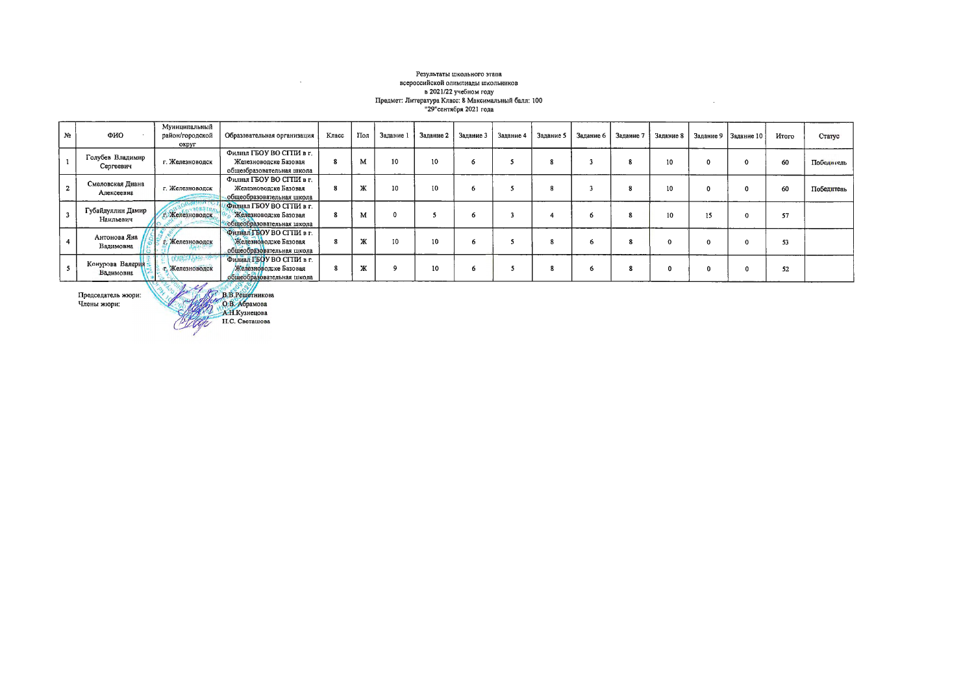## Результаты школьного этапа всероссийской олимпиады школьников всероссииском олимпиады школьников<br>в 2021/22 учебном году<br>Предмет: Литература Класс: В Максимальный балл: 100<br>"29"сентября 2021 года

 $\sim 10^{-1}$ 

| No | ФИО                            | Муниципальный<br>район/городской<br>округ                                                             | Образовательная организация                                                                          | Класс | Пол                  | Задание 1 | Задание 2 | Задание 3 | Задание 4 | Задание 5 | Задание 6 | Задание 7 | Задание 8       |          | Задание 9   Задание 10 | <b>H</b> roro | Статус     |
|----|--------------------------------|-------------------------------------------------------------------------------------------------------|------------------------------------------------------------------------------------------------------|-------|----------------------|-----------|-----------|-----------|-----------|-----------|-----------|-----------|-----------------|----------|------------------------|---------------|------------|
|    | Голубев Владимир<br>Сергеевич  | г. Железноводск                                                                                       | Филиал ГБОУ ВО СГПИ в г.<br>Железноволске Базовая<br>общеобразовательная школа                       | 8     | M                    | 10        | 10        | Ô.        |           |           |           |           | 10 <sup>°</sup> | $\Omega$ |                        | 60            | Победитель |
|    | Смеловская Диана<br>Алексеевна | г. Железноводск                                                                                       | Филиал ГБОУ ВО СГПИ в г.<br>Железноводске Базовая<br>общеобразовательная школа                       | 8     | Ж                    | 10        | 10        |           |           |           |           |           | 10              |          |                        | 60            | Победитель |
|    | Губайдуллин Дамир<br>Наильевич | Келезноводск                                                                                          | Филиал ГБОУ ВО СГТІИ в г.<br>Железноводске Базовая<br>общеобразовательная школа                      |       | м                    |           |           |           |           |           |           |           | 10              | 15       |                        | 57            |            |
|    | Антонова Яна<br>Вадимовна      | г. Железноводск                                                                                       | Филиал ГБОУ ВО СГПИ в г.<br>Железноводске Базовая<br>общеобразовательная школа                       |       | ATC.<br>ж            | 10        | 10        |           |           |           |           |           |                 |          |                        | 53            |            |
|    | Конурова Валерия<br>Вадимовна  | <b>CANNER AVAILABLE</b><br>г. Железноводск<br>$\mathcal{L}$ $\mathcal{L}$ $\mathcal{L}$ $\mathcal{L}$ | Филиал ГБОУ ВО СГТІИ в г.<br>Железноводске Базовая<br>общеобразовательная школа<br>$10^{10}$ 0 $0$ / |       | 50 <sub>0</sub><br>ж |           | 10        |           |           |           |           |           |                 |          |                        | 52            |            |

Председатель жюри:<br>Члены жюри:

A B.B. Penderunkosa

 $\sim$